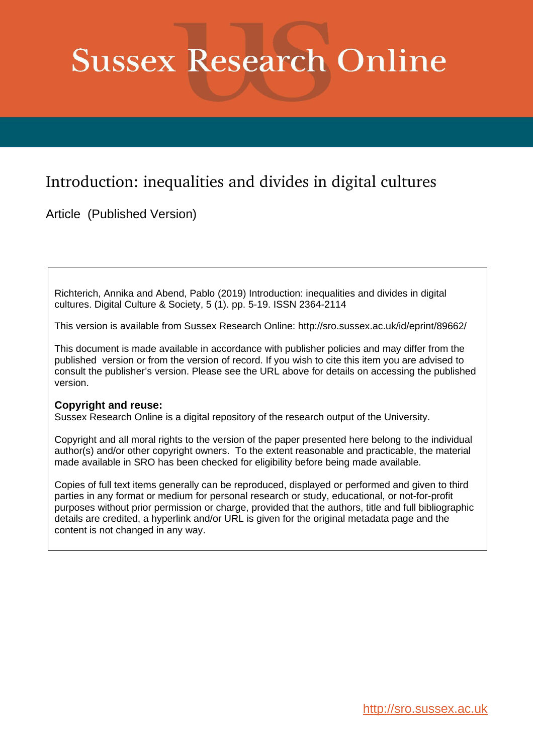# **Sussex Research Online**

# Introduction: inequalities and divides in digital cultures

Article (Published Version)

Richterich, Annika and Abend, Pablo (2019) Introduction: inequalities and divides in digital cultures. Digital Culture & Society, 5 (1). pp. 5-19. ISSN 2364-2114

This version is available from Sussex Research Online: http://sro.sussex.ac.uk/id/eprint/89662/

This document is made available in accordance with publisher policies and may differ from the published version or from the version of record. If you wish to cite this item you are advised to consult the publisher's version. Please see the URL above for details on accessing the published version.

### **Copyright and reuse:**

Sussex Research Online is a digital repository of the research output of the University.

Copyright and all moral rights to the version of the paper presented here belong to the individual author(s) and/or other copyright owners. To the extent reasonable and practicable, the material made available in SRO has been checked for eligibility before being made available.

Copies of full text items generally can be reproduced, displayed or performed and given to third parties in any format or medium for personal research or study, educational, or not-for-profit purposes without prior permission or charge, provided that the authors, title and full bibliographic details are credited, a hyperlink and/or URL is given for the original metadata page and the content is not changed in any way.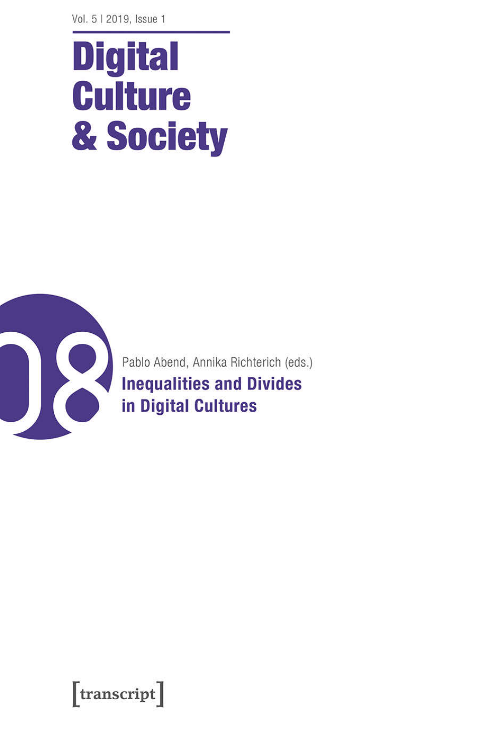# **Digital Culture** & Society



[transcript]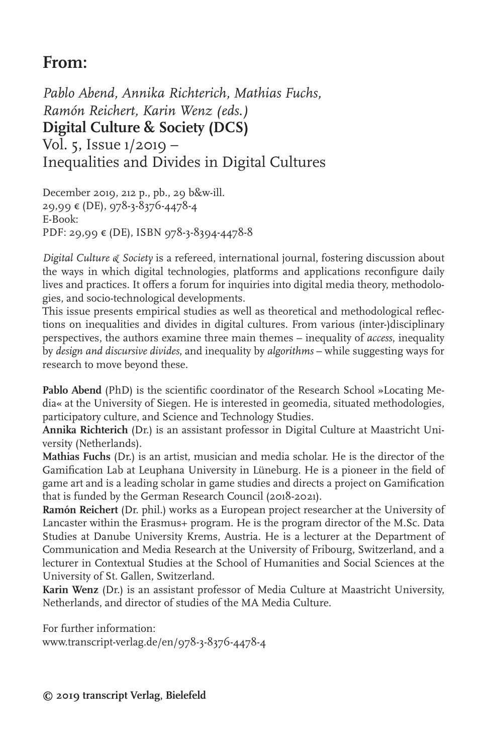## **From:**

*Pablo Abend, Annika Richterich, Mathias Fuchs, Ramón Reichert, Karin Wenz (eds.)* **Digital Culture & Society (DCS)** Vol. 5, Issue 1/2019 – Inequalities and Divides in Digital Cultures

December 2019, 212 p., pb., 29 b&w-ill. 29,99 € (DE), 978-3-8376-4478-4 E-Book: PDF: 29,99 € (DE), ISBN 978-3-8394-4478-8

*Digital Culture & Society* is a refereed, international journal, fostering discussion about the ways in which digital technologies, platforms and applications reconfigure daily lives and practices. It offers a forum for inquiries into digital media theory, methodologies, and socio-technological developments.

This issue presents empirical studies as well as theoretical and methodological reflections on inequalities and divides in digital cultures. From various (inter-)disciplinary perspectives, the authors examine three main themes – inequality of *access*, inequality by *design and discursive divides*, and inequality by *algorithms* – while suggesting ways for research to move beyond these.

**Pablo Abend** (PhD) is the scientific coordinator of the Research School »Locating Media« at the University of Siegen. He is interested in geomedia, situated methodologies, participatory culture, and Science and Technology Studies.

**Annika Richterich** (Dr.) is an assistant professor in Digital Culture at Maastricht University (Netherlands).

**Mathias Fuchs** (Dr.) is an artist, musician and media scholar. He is the director of the Gamification Lab at Leuphana University in Lüneburg. He is a pioneer in the field of game art and is a leading scholar in game studies and directs a project on Gamification that is funded by the German Research Council (2018-2021).

**Ramón Reichert** (Dr. phil.) works as a European project researcher at the University of Lancaster within the Erasmus+ program. He is the program director of the M.Sc. Data Studies at Danube University Krems, Austria. He is a lecturer at the Department of Communication and Media Research at the University of Fribourg, Switzerland, and a lecturer in Contextual Studies at the School of Humanities and Social Sciences at the University of St. Gallen, Switzerland.

**Karin Wenz** (Dr.) is an assistant professor of Media Culture at Maastricht University, Netherlands, and director of studies of the MA Media Culture.

For further information: www.transcript-verlag.de/en/978-3-8376-4478-4

**© 2019 transcript Verlag, Bielefeld**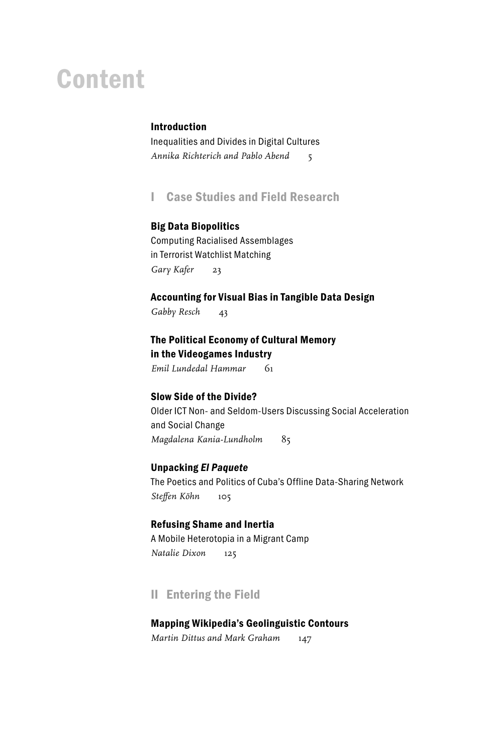# Content

#### Introduction

Inequalities and Divides in Digital Cultures *Annika Richterich and Pablo Abend* 5

I Case Studies and Field Research

#### Big Data Biopolitics

Computing Racialised Assemblages in Terrorist Watchlist Matching *Gary Kafer* 23

#### Accounting for Visual Bias in Tangible Data Design

*Gabby Resch* 43

The Political Economy of Cultural Memory in the Videogames Industry

*Emil Lundedal Hammar* 61

#### Slow Side of the Divide?

Older ICT Non- and Seldom-Users Discussing Social Acceleration and Social Change *Magdalena Kania-Lundholm* 85

#### Unpacking *El Paquete*

The Poetics and Politics of Cuba's Offline Data-Sharing Network *Steffen Köhn* 105

#### Refusing Shame and Inertia

A Mobile Heterotopia in a Migrant Camp *Natalie Dixon* 125

#### II Entering the Field

#### Mapping Wikipedia's Geolinguistic Contours

*Martin Dittus and Mark Graham* 147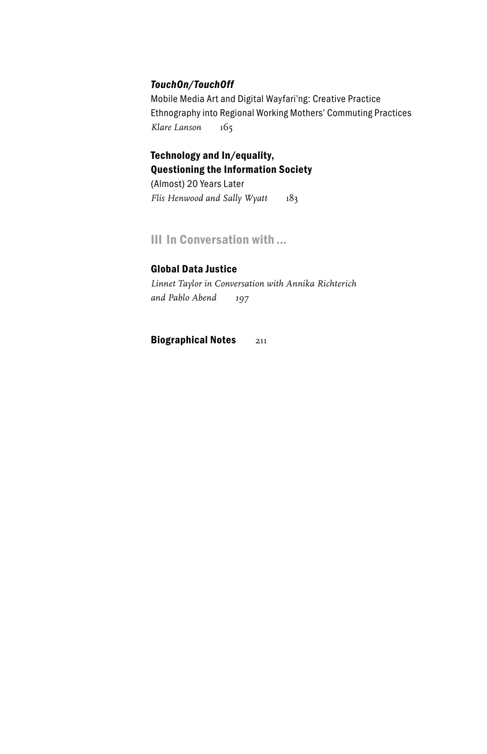#### *TouchOn/TouchOff*

Mobile Media Art and Digital Wayfari'ng: Creative Practice Ethnography into Regional Working Mothers' Commuting Practices *Klare Lanson* 165

## Technology and In/equality, Questioning the Information Society

(Almost) 20 Years Later *Flis Henwood and Sally Wyatt* 183

#### III In Conversation with …

#### Global Data Justice

*Linnet Taylor in Conversation with Annika Richterich and Pablo Abend 197*

Biographical Notes 211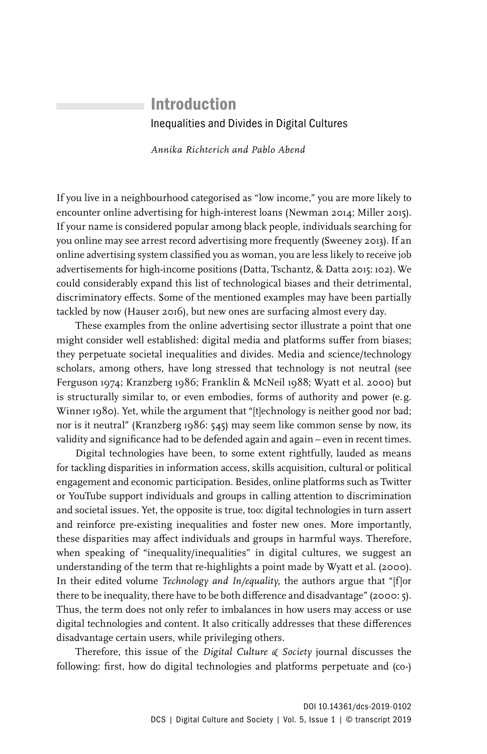## Introduction Inequalities and Divides in Digital Cultures

*Annika Richterich and Pablo Abend*

If you live in a neighbourhood categorised as "low income," you are more likely to encounter online advertising for high-interest loans (Newman 2014; Miller 2015). If your name is considered popular among black people, individuals searching for you online may see arrest record advertising more frequently (Sweeney 2013). If an online advertising system classified you as woman, you are less likely to receive job advertisements for high-income positions (Datta, Tschantz, & Datta 2015: 102). We could considerably expand this list of technological biases and their detrimental, discriminatory effects. Some of the mentioned examples may have been partially tackled by now (Hauser 2016), but new ones are surfacing almost every day.

These examples from the online advertising sector illustrate a point that one might consider well established: digital media and platforms suffer from biases; they perpetuate societal inequalities and divides. Media and science/technology scholars, among others, have long stressed that technology is not neutral (see Ferguson 1974; Kranzberg 1986; Franklin & McNeil 1988; Wyatt et al. 2000) but is structurally similar to, or even embodies, forms of authority and power (e.g. Winner 1980). Yet, while the argument that "[t]echnology is neither good nor bad; nor is it neutral" (Kranzberg 1986: 545) may seem like common sense by now, its validity and significance had to be defended again and again – even in recent times.

Digital technologies have been, to some extent rightfully, lauded as means for tackling disparities in information access, skills acquisition, cultural or political engagement and economic participation. Besides, online platforms such as Twitter or YouTube support individuals and groups in calling attention to discrimination and societal issues. Yet, the opposite is true, too: digital technologies in turn assert and reinforce pre-existing inequalities and foster new ones. More importantly, these disparities may affect individuals and groups in harmful ways. Therefore, when speaking of "inequality/inequalities" in digital cultures, we suggest an understanding of the term that re-highlights a point made by Wyatt et al. (2000). In their edited volume *Technology and In/equality*, the authors argue that "[f]or there to be inequality, there have to be both difference and disadvantage" (2000: 5). Thus, the term does not only refer to imbalances in how users may access or use digital technologies and content. It also critically addresses that these differences disadvantage certain users, while privileging others.

Therefore, this issue of the *Digital Culture & Society* journal discusses the following: first, how do digital technologies and platforms perpetuate and (co-)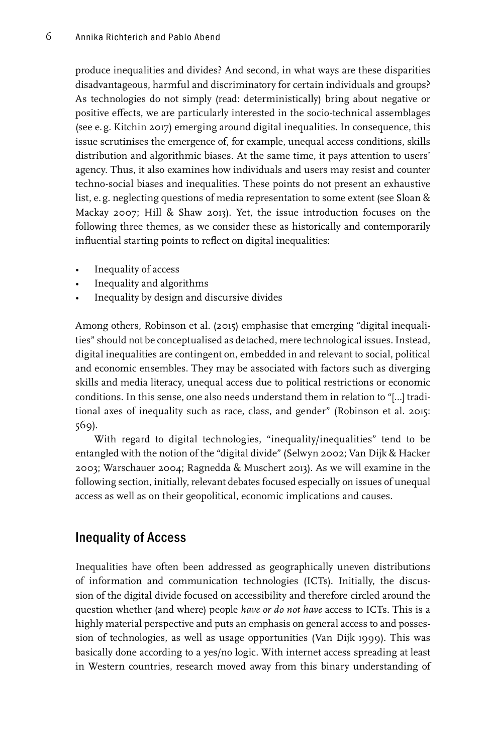produce inequalities and divides? And second, in what ways are these disparities disadvantageous, harmful and discriminatory for certain individuals and groups? As technologies do not simply (read: deterministically) bring about negative or positive effects, we are particularly interested in the socio-technical assemblages (see e.g. Kitchin 2017) emerging around digital inequalities. In consequence, this issue scrutinises the emergence of, for example, unequal access conditions, skills distribution and algorithmic biases. At the same time, it pays attention to users' agency. Thus, it also examines how individuals and users may resist and counter techno-social biases and inequalities. These points do not present an exhaustive list, e.g. neglecting questions of media representation to some extent (see Sloan & Mackay 2007; Hill & Shaw 2013). Yet, the issue introduction focuses on the following three themes, as we consider these as historically and contemporarily influential starting points to reflect on digital inequalities:

- Inequality of access
- Inequality and algorithms
- Inequality by design and discursive divides

Among others, Robinson et al. (2015) emphasise that emerging "digital inequalities" should not be conceptualised as detached, mere technological issues. Instead, digital inequalities are contingent on, embedded in and relevant to social, political and economic ensembles. They may be associated with factors such as diverging skills and media literacy, unequal access due to political restrictions or economic conditions. In this sense, one also needs understand them in relation to "[…] traditional axes of inequality such as race, class, and gender" (Robinson et al. 2015: 569).

With regard to digital technologies, "inequality/inequalities" tend to be entangled with the notion of the "digital divide" (Selwyn 2002; Van Dijk & Hacker 2003; Warschauer 2004; Ragnedda & Muschert 2013). As we will examine in the following section, initially, relevant debates focused especially on issues of unequal access as well as on their geopolitical, economic implications and causes.

#### Inequality of Access

Inequalities have often been addressed as geographically uneven distributions of information and communication technologies (ICTs). Initially, the discussion of the digital divide focused on accessibility and therefore circled around the question whether (and where) people *have or do not have* access to ICTs. This is a highly material perspective and puts an emphasis on general access to and possession of technologies, as well as usage opportunities (Van Dijk 1999). This was basically done according to a yes/no logic. With internet access spreading at least in Western countries, research moved away from this binary understanding of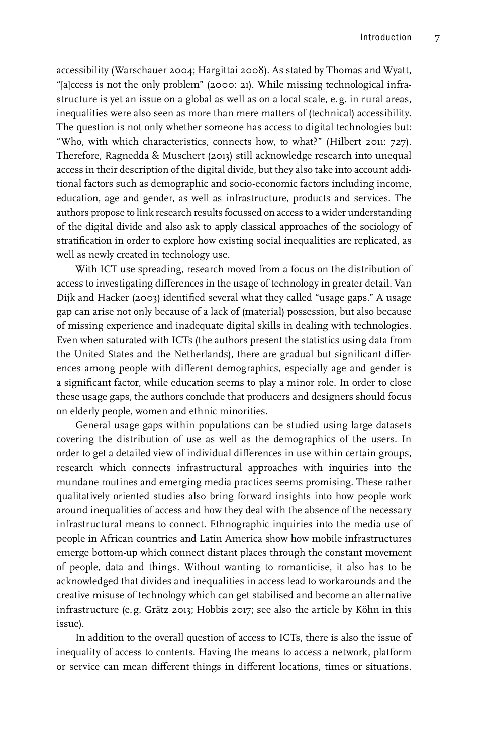accessibility (Warschauer 2004; Hargittai 2008). As stated by Thomas and Wyatt, "[a]ccess is not the only problem" (2000: 21). While missing technological infrastructure is yet an issue on a global as well as on a local scale, e. g. in rural areas, inequalities were also seen as more than mere matters of (technical) accessibility. The question is not only whether someone has access to digital technologies but: "Who, with which characteristics, connects how, to what?" (Hilbert 2011: 727). Therefore, Ragnedda & Muschert (2013) still acknowledge research into unequal access in their description of the digital divide, but they also take into account additional factors such as demographic and socio-economic factors including income, education, age and gender, as well as infrastructure, products and services. The authors propose to link research results focussed on access to a wider understanding of the digital divide and also ask to apply classical approaches of the sociology of stratification in order to explore how existing social inequalities are replicated, as well as newly created in technology use.

With ICT use spreading, research moved from a focus on the distribution of access to investigating differences in the usage of technology in greater detail. Van Dijk and Hacker (2003) identified several what they called "usage gaps." A usage gap can arise not only because of a lack of (material) possession, but also because of missing experience and inadequate digital skills in dealing with technologies. Even when saturated with ICTs (the authors present the statistics using data from the United States and the Netherlands), there are gradual but significant differences among people with different demographics, especially age and gender is a significant factor, while education seems to play a minor role. In order to close these usage gaps, the authors conclude that producers and designers should focus on elderly people, women and ethnic minorities.

General usage gaps within populations can be studied using large datasets covering the distribution of use as well as the demographics of the users. In order to get a detailed view of individual differences in use within certain groups, research which connects infrastructural approaches with inquiries into the mundane routines and emerging media practices seems promising. These rather qualitatively oriented studies also bring forward insights into how people work around inequalities of access and how they deal with the absence of the necessary infrastructural means to connect. Ethnographic inquiries into the media use of people in African countries and Latin America show how mobile infrastructures emerge bottom-up which connect distant places through the constant movement of people, data and things. Without wanting to romanticise, it also has to be acknowledged that divides and inequalities in access lead to workarounds and the creative misuse of technology which can get stabilised and become an alternative infrastructure (e.g. Grätz 2013; Hobbis 2017; see also the article by Köhn in this issue).

In addition to the overall question of access to ICTs, there is also the issue of inequality of access to contents. Having the means to access a network, platform or service can mean different things in different locations, times or situations.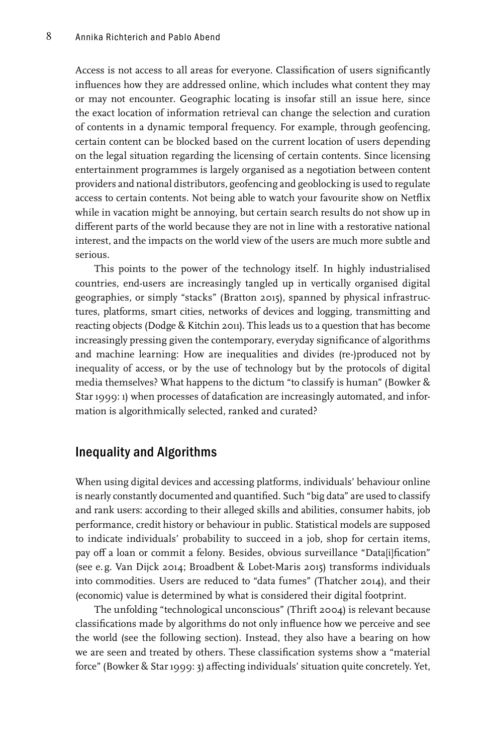Access is not access to all areas for everyone. Classification of users significantly influences how they are addressed online, which includes what content they may or may not encounter. Geographic locating is insofar still an issue here, since the exact location of information retrieval can change the selection and curation of contents in a dynamic temporal frequency. For example, through geofencing, certain content can be blocked based on the current location of users depending on the legal situation regarding the licensing of certain contents. Since licensing entertainment programmes is largely organised as a negotiation between content providers and national distributors, geofencing and geoblocking is used to regulate access to certain contents. Not being able to watch your favourite show on Netflix while in vacation might be annoying, but certain search results do not show up in different parts of the world because they are not in line with a restorative national interest, and the impacts on the world view of the users are much more subtle and serious.

This points to the power of the technology itself. In highly industrialised countries, end-users are increasingly tangled up in vertically organised digital geographies, or simply "stacks" (Bratton 2015), spanned by physical infrastructures, platforms, smart cities, networks of devices and logging, transmitting and reacting objects (Dodge & Kitchin 2011). This leads us to a question that has become increasingly pressing given the contemporary, everyday significance of algorithms and machine learning: How are inequalities and divides (re-)produced not by inequality of access, or by the use of technology but by the protocols of digital media themselves? What happens to the dictum "to classify is human" (Bowker & Star 1999: 1) when processes of datafication are increasingly automated, and information is algorithmically selected, ranked and curated?

#### Inequality and Algorithms

When using digital devices and accessing platforms, individuals' behaviour online is nearly constantly documented and quantified. Such "big data" are used to classify and rank users: according to their alleged skills and abilities, consumer habits, job performance, credit history or behaviour in public. Statistical models are supposed to indicate individuals' probability to succeed in a job, shop for certain items, pay off a loan or commit a felony. Besides, obvious surveillance "Data[i]fication" (see e.g. Van Dijck 2014; Broadbent & Lobet-Maris 2015) transforms individuals into commodities. Users are reduced to "data fumes" (Thatcher 2014), and their (economic) value is determined by what is considered their digital footprint.

The unfolding "technological unconscious" (Thrift 2004) is relevant because classifications made by algorithms do not only influence how we perceive and see the world (see the following section). Instead, they also have a bearing on how we are seen and treated by others. These classification systems show a "material force" (Bowker & Star 1999: 3) affecting individuals' situation quite concretely. Yet,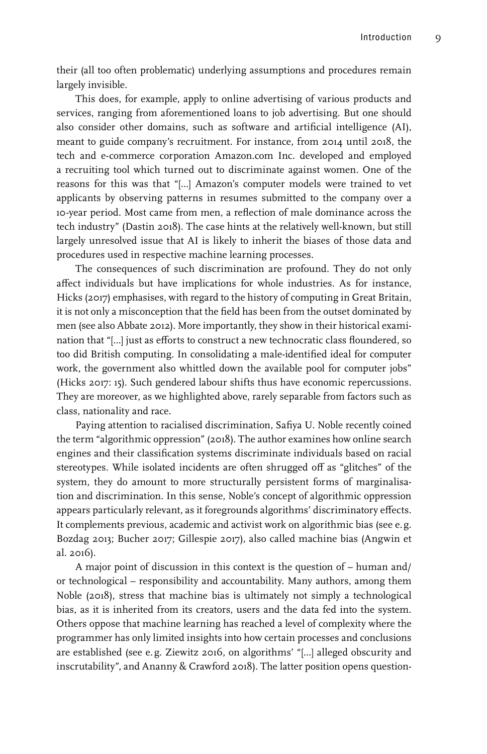their (all too often problematic) underlying assumptions and procedures remain largely invisible.

This does, for example, apply to online advertising of various products and services, ranging from aforementioned loans to job advertising. But one should also consider other domains, such as software and artificial intelligence (AI), meant to guide company's recruitment. For instance, from 2014 until 2018, the tech and e-commerce corporation Amazon.com Inc. developed and employed a recruiting tool which turned out to discriminate against women. One of the reasons for this was that "[…] Amazon's computer models were trained to vet applicants by observing patterns in resumes submitted to the company over a 10-year period. Most came from men, a reflection of male dominance across the tech industry" (Dastin 2018). The case hints at the relatively well-known, but still largely unresolved issue that AI is likely to inherit the biases of those data and procedures used in respective machine learning processes.

The consequences of such discrimination are profound. They do not only affect individuals but have implications for whole industries. As for instance, Hicks (2017) emphasises, with regard to the history of computing in Great Britain, it is not only a misconception that the field has been from the outset dominated by men (see also Abbate 2012). More importantly, they show in their historical examination that "[…] just as efforts to construct a new technocratic class floundered, so too did British computing. In consolidating a male-identified ideal for computer work, the government also whittled down the available pool for computer jobs" (Hicks 2017: 15). Such gendered labour shifts thus have economic repercussions. They are moreover, as we highlighted above, rarely separable from factors such as class, nationality and race.

Paying attention to racialised discrimination, Safiya U. Noble recently coined the term "algorithmic oppression" (2018). The author examines how online search engines and their classification systems discriminate individuals based on racial stereotypes. While isolated incidents are often shrugged off as "glitches" of the system, they do amount to more structurally persistent forms of marginalisation and discrimination. In this sense, Noble's concept of algorithmic oppression appears particularly relevant, as it foregrounds algorithms' discriminatory effects. It complements previous, academic and activist work on algorithmic bias (see e.g. Bozdag 2013; Bucher 2017; Gillespie 2017), also called machine bias (Angwin et al. 2016).

A major point of discussion in this context is the question of – human and/ or technological – responsibility and accountability. Many authors, among them Noble (2018), stress that machine bias is ultimately not simply a technological bias, as it is inherited from its creators, users and the data fed into the system. Others oppose that machine learning has reached a level of complexity where the programmer has only limited insights into how certain processes and conclusions are established (see e.g. Ziewitz 2016, on algorithms' "[…] alleged obscurity and inscrutability", and Ananny & Crawford 2018). The latter position opens question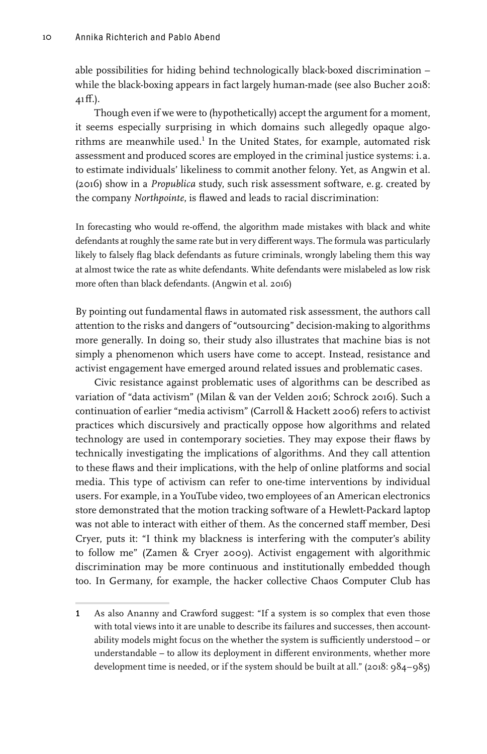able possibilities for hiding behind technologically black-boxed discrimination − while the black-boxing appears in fact largely human-made (see also Bucher 2018: 41ff.).

Though even if we were to (hypothetically) accept the argument for a moment, it seems especially surprising in which domains such allegedly opaque algorithms are meanwhile used.<sup>1</sup> In the United States, for example, automated risk assessment and produced scores are employed in the criminal justice systems: i. a. to estimate individuals' likeliness to commit another felony. Yet, as Angwin et al. (2016) show in a *Propublica* study, such risk assessment software, e. g. created by the company *Northpointe*, is flawed and leads to racial discrimination:

In forecasting who would re-offend, the algorithm made mistakes with black and white defendants at roughly the same rate but in very different ways. The formula was particularly likely to falsely flag black defendants as future criminals, wrongly labeling them this way at almost twice the rate as white defendants. White defendants were mislabeled as low risk more often than black defendants. (Angwin et al. 2016)

By pointing out fundamental flaws in automated risk assessment, the authors call attention to the risks and dangers of "outsourcing" decision-making to algorithms more generally. In doing so, their study also illustrates that machine bias is not simply a phenomenon which users have come to accept. Instead, resistance and activist engagement have emerged around related issues and problematic cases.

Civic resistance against problematic uses of algorithms can be described as variation of "data activism" (Milan & van der Velden 2016; Schrock 2016). Such a continuation of earlier "media activism" (Carroll & Hackett 2006) refers to activist practices which discursively and practically oppose how algorithms and related technology are used in contemporary societies. They may expose their flaws by technically investigating the implications of algorithms. And they call attention to these flaws and their implications, with the help of online platforms and social media. This type of activism can refer to one-time interventions by individual users. For example, in a YouTube video, two employees of an American electronics store demonstrated that the motion tracking software of a Hewlett-Packard laptop was not able to interact with either of them. As the concerned staff member, Desi Cryer, puts it: "I think my blackness is interfering with the computer's ability to follow me" (Zamen & Cryer 2009). Activist engagement with algorithmic discrimination may be more continuous and institutionally embedded though too. In Germany, for example, the hacker collective Chaos Computer Club has

<sup>1</sup> As also Ananny and Crawford suggest: "If a system is so complex that even those with total views into it are unable to describe its failures and successes, then accountability models might focus on the whether the system is sufficiently understood – or understandable – to allow its deployment in different environments, whether more development time is needed, or if the system should be built at all." (2018: 984−985)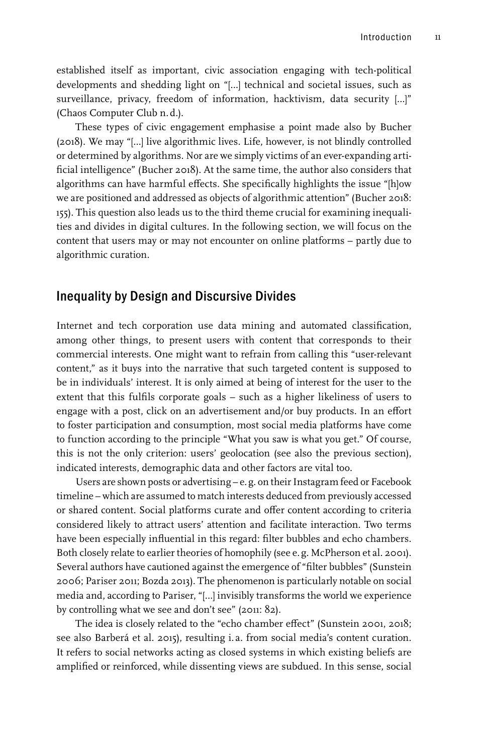established itself as important, civic association engaging with tech-political developments and shedding light on "[…] technical and societal issues, such as surveillance, privacy, freedom of information, hacktivism, data security […]" (Chaos Computer Club n.d.).

These types of civic engagement emphasise a point made also by Bucher (2018). We may "[…] live algorithmic lives. Life, however, is not blindly controlled or determined by algorithms. Nor are we simply victims of an ever-expanding artificial intelligence" (Bucher 2018). At the same time, the author also considers that algorithms can have harmful effects. She specifically highlights the issue "[h]ow we are positioned and addressed as objects of algorithmic attention" (Bucher 2018: 155). This question also leads us to the third theme crucial for examining inequalities and divides in digital cultures. In the following section, we will focus on the content that users may or may not encounter on online platforms – partly due to algorithmic curation.

#### Inequality by Design and Discursive Divides

Internet and tech corporation use data mining and automated classification, among other things, to present users with content that corresponds to their commercial interests. One might want to refrain from calling this "user-relevant content," as it buys into the narrative that such targeted content is supposed to be in individuals' interest. It is only aimed at being of interest for the user to the extent that this fulfils corporate goals – such as a higher likeliness of users to engage with a post, click on an advertisement and/or buy products. In an effort to foster participation and consumption, most social media platforms have come to function according to the principle "What you saw is what you get." Of course, this is not the only criterion: users' geolocation (see also the previous section), indicated interests, demographic data and other factors are vital too.

Users are shown posts or advertising – e.g. on their Instagram feed or Facebook timeline – which are assumed to match interests deduced from previously accessed or shared content. Social platforms curate and offer content according to criteria considered likely to attract users' attention and facilitate interaction. Two terms have been especially influential in this regard: filter bubbles and echo chambers. Both closely relate to earlier theories of homophily (see e. g. McPherson et al. 2001). Several authors have cautioned against the emergence of "filter bubbles" (Sunstein 2006; Pariser 2011; Bozda 2013). The phenomenon is particularly notable on social media and, according to Pariser, "[…] invisibly transforms the world we experience by controlling what we see and don't see" (2011: 82).

The idea is closely related to the "echo chamber effect" (Sunstein 2001, 2018; see also Barberá et al. 2015), resulting i. a. from social media's content curation. It refers to social networks acting as closed systems in which existing beliefs are amplified or reinforced, while dissenting views are subdued. In this sense, social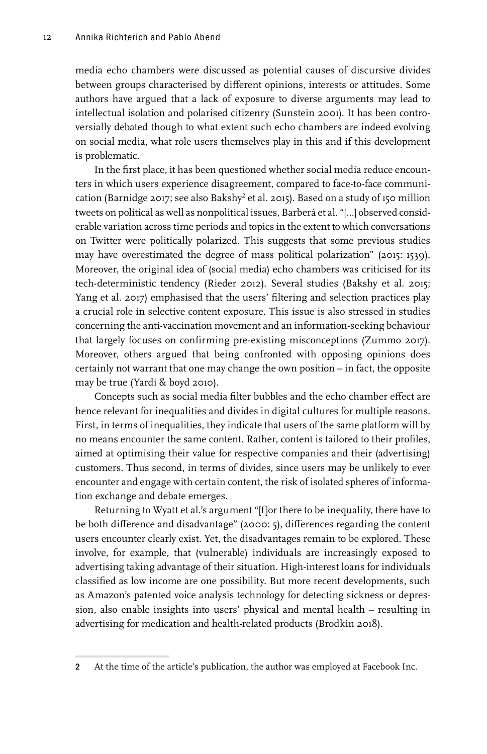media echo chambers were discussed as potential causes of discursive divides between groups characterised by different opinions, interests or attitudes. Some authors have argued that a lack of exposure to diverse arguments may lead to intellectual isolation and polarised citizenry (Sunstein 2001). It has been controversially debated though to what extent such echo chambers are indeed evolving on social media, what role users themselves play in this and if this development is problematic.

In the first place, it has been questioned whether social media reduce encounters in which users experience disagreement, compared to face-to-face communication (Barnidge 2017; see also Bakshy $^2$  et al. 2015). Based on a study of 150 million tweets on political as well as nonpolitical issues, Barberá et al. "[…] observed considerable variation across time periods and topics in the extent to which conversations on Twitter were politically polarized. This suggests that some previous studies may have overestimated the degree of mass political polarization" (2015: 1539). Moreover, the original idea of (social media) echo chambers was criticised for its tech-deterministic tendency (Rieder 2012). Several studies (Bakshy et al. 2015; Yang et al. 2017) emphasised that the users' filtering and selection practices play a crucial role in selective content exposure. This issue is also stressed in studies concerning the anti-vaccination movement and an information-seeking behaviour that largely focuses on confirming pre-existing misconceptions (Zummo 2017). Moreover, others argued that being confronted with opposing opinions does certainly not warrant that one may change the own position – in fact, the opposite may be true (Yardi & boyd 2010).

Concepts such as social media filter bubbles and the echo chamber effect are hence relevant for inequalities and divides in digital cultures for multiple reasons. First, in terms of inequalities, they indicate that users of the same platform will by no means encounter the same content. Rather, content is tailored to their profiles, aimed at optimising their value for respective companies and their (advertising) customers. Thus second, in terms of divides, since users may be unlikely to ever encounter and engage with certain content, the risk of isolated spheres of information exchange and debate emerges.

Returning to Wyatt et al.'s argument "[f]or there to be inequality, there have to be both difference and disadvantage" (2000: 5), differences regarding the content users encounter clearly exist. Yet, the disadvantages remain to be explored. These involve, for example, that (vulnerable) individuals are increasingly exposed to advertising taking advantage of their situation. High-interest loans for individuals classified as low income are one possibility. But more recent developments, such as Amazon's patented voice analysis technology for detecting sickness or depression, also enable insights into users' physical and mental health – resulting in advertising for medication and health-related products (Brodkin 2018).

<sup>2</sup> At the time of the article's publication, the author was employed at Facebook Inc.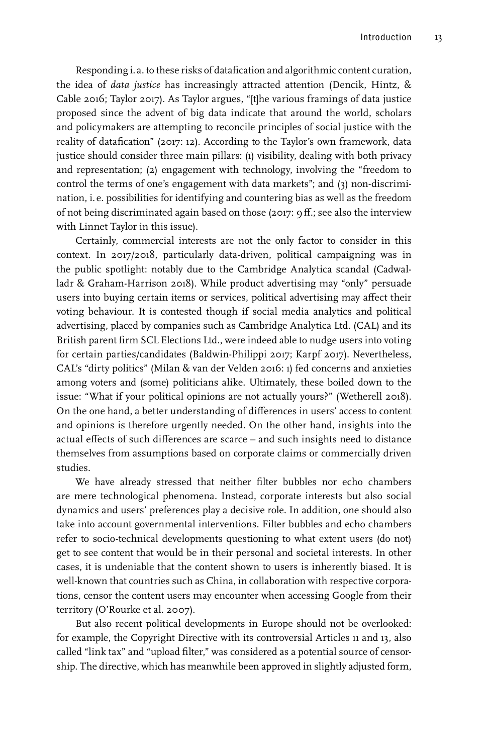Responding i. a. to these risks of datafication and algorithmic content curation, the idea of *data justice* has increasingly attracted attention (Dencik, Hintz, & Cable 2016; Taylor 2017). As Taylor argues, "[t]he various framings of data justice proposed since the advent of big data indicate that around the world, scholars and policymakers are attempting to reconcile principles of social justice with the reality of datafication" (2017: 12). According to the Taylor's own framework, data justice should consider three main pillars: (1) visibility, dealing with both privacy and representation; (2) engagement with technology, involving the "freedom to control the terms of one's engagement with data markets"; and (3) non-discrimination, i. e. possibilities for identifying and countering bias as well as the freedom of not being discriminated again based on those (2017: 9ff.; see also the interview with Linnet Taylor in this issue).

Certainly, commercial interests are not the only factor to consider in this context. In 2017/2018, particularly data-driven, political campaigning was in the public spotlight: notably due to the Cambridge Analytica scandal (Cadwalladr & Graham-Harrison 2018). While product advertising may "only" persuade users into buying certain items or services, political advertising may affect their voting behaviour. It is contested though if social media analytics and political advertising, placed by companies such as Cambridge Analytica Ltd. (CAL) and its British parent firm SCL Elections Ltd., were indeed able to nudge users into voting for certain parties/candidates (Baldwin-Philippi 2017; Karpf 2017). Nevertheless, CAL's "dirty politics" (Milan & van der Velden 2016: 1) fed concerns and anxieties among voters and (some) politicians alike. Ultimately, these boiled down to the issue: "What if your political opinions are not actually yours?" (Wetherell 2018). On the one hand, a better understanding of differences in users' access to content and opinions is therefore urgently needed. On the other hand, insights into the actual effects of such differences are scarce – and such insights need to distance themselves from assumptions based on corporate claims or commercially driven studies.

We have already stressed that neither filter bubbles nor echo chambers are mere technological phenomena. Instead, corporate interests but also social dynamics and users' preferences play a decisive role. In addition, one should also take into account governmental interventions. Filter bubbles and echo chambers refer to socio-technical developments questioning to what extent users (do not) get to see content that would be in their personal and societal interests. In other cases, it is undeniable that the content shown to users is inherently biased. It is well-known that countries such as China, in collaboration with respective corporations, censor the content users may encounter when accessing Google from their territory (O'Rourke et al. 2007).

But also recent political developments in Europe should not be overlooked: for example, the Copyright Directive with its controversial Articles 11 and 13, also called "link tax" and "upload filter," was considered as a potential source of censorship. The directive, which has meanwhile been approved in slightly adjusted form,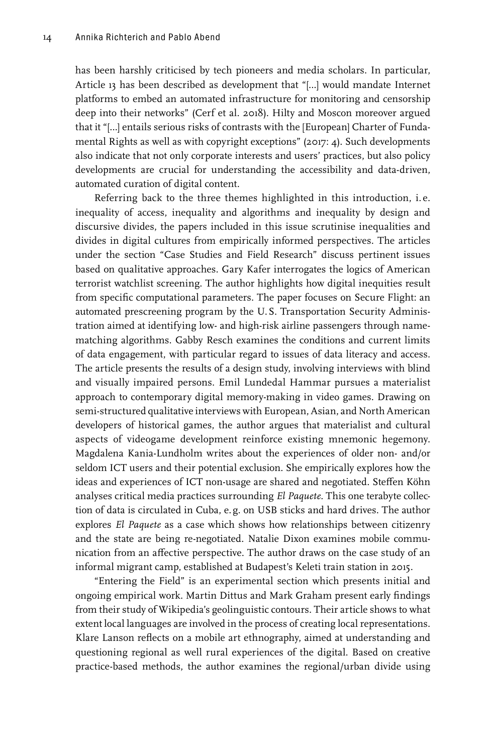has been harshly criticised by tech pioneers and media scholars. In particular, Article 13 has been described as development that "[…] would mandate Internet platforms to embed an automated infrastructure for monitoring and censorship deep into their networks" (Cerf et al. 2018). Hilty and Moscon moreover argued that it "[…] entails serious risks of contrasts with the [European] Charter of Fundamental Rights as well as with copyright exceptions" (2017: 4). Such developments also indicate that not only corporate interests and users' practices, but also policy developments are crucial for understanding the accessibility and data-driven, automated curation of digital content.

Referring back to the three themes highlighted in this introduction, i. e. inequality of access, inequality and algorithms and inequality by design and discursive divides, the papers included in this issue scrutinise inequalities and divides in digital cultures from empirically informed perspectives. The articles under the section "Case Studies and Field Research" discuss pertinent issues based on qualitative approaches. Gary Kafer interrogates the logics of American terrorist watchlist screening. The author highlights how digital inequities result from specific computational parameters. The paper focuses on Secure Flight: an automated prescreening program by the U.S. Transportation Security Administration aimed at identifying low- and high-risk airline passengers through namematching algorithms. Gabby Resch examines the conditions and current limits of data engagement, with particular regard to issues of data literacy and access. The article presents the results of a design study, involving interviews with blind and visually impaired persons. Emil Lundedal Hammar pursues a materialist approach to contemporary digital memory-making in video games. Drawing on semi-structured qualitative interviews with European, Asian, and North American developers of historical games, the author argues that materialist and cultural aspects of videogame development reinforce existing mnemonic hegemony. Magdalena Kania-Lundholm writes about the experiences of older non- and/or seldom ICT users and their potential exclusion. She empirically explores how the ideas and experiences of ICT non-usage are shared and negotiated. Steffen Köhn analyses critical media practices surrounding *El Paquete*. This one terabyte collection of data is circulated in Cuba, e. g. on USB sticks and hard drives. The author explores *El Paquete* as a case which shows how relationships between citizenry and the state are being re-negotiated. Natalie Dixon examines mobile communication from an affective perspective. The author draws on the case study of an informal migrant camp, established at Budapest's Keleti train station in 2015.

"Entering the Field" is an experimental section which presents initial and ongoing empirical work. Martin Dittus and Mark Graham present early findings from their study of Wikipedia's geolinguistic contours. Their article shows to what extent local languages are involved in the process of creating local representations. Klare Lanson reflects on a mobile art ethnography, aimed at understanding and questioning regional as well rural experiences of the digital. Based on creative practice-based methods, the author examines the regional/urban divide using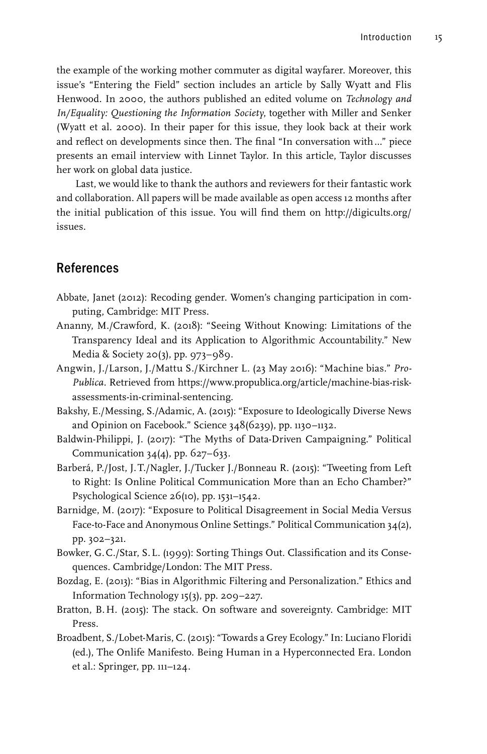the example of the working mother commuter as digital wayfarer. Moreover, this issue's "Entering the Field" section includes an article by Sally Wyatt and Flis Henwood. In 2000, the authors published an edited volume on *Technology and In/Equality: Questioning the Information Society*, together with Miller and Senker (Wyatt et al. 2000). In their paper for this issue, they look back at their work and reflect on developments since then. The final "In conversation with…" piece presents an email interview with Linnet Taylor. In this article, Taylor discusses her work on global data justice.

Last, we would like to thank the authors and reviewers for their fantastic work and collaboration. All papers will be made available as open access 12 months after the initial publication of this issue. You will find them on [http://digicults.org/](http://digicults.org/issues) [issues](http://digicults.org/issues).

#### References

- Abbate, Janet (2012): Recoding gender. Women's changing participation in computing, Cambridge: MIT Press.
- Ananny, M./Crawford, K. (2018): "Seeing Without Knowing: Limitations of the Transparency Ideal and its Application to Algorithmic Accountability." New Media & Society 20(3), pp. 973–989.
- Angwin, J./Larson, J./Mattu S./Kirchner L. (23 May 2016): "Machine bias." *Pro-Publica*. Retrieved from [https://www.propublica.org/article/machine-bias-risk](https://www.propublica.org/article/machine-bias-risk-assessments-in-criminal-sentencing)[assessments-in-criminal-sentencing](https://www.propublica.org/article/machine-bias-risk-assessments-in-criminal-sentencing).
- Bakshy, E./Messing, S./Adamic, A. (2015): "Exposure to Ideologically Diverse News and Opinion on Facebook." Science 348(6239), pp. 1130–1132.
- Baldwin-Philippi, J. (2017): "The Myths of Data-Driven Campaigning." Political Communication  $34(4)$ , pp.  $627-633$ .
- Barberá, P./Jost, J.T./Nagler, J./Tucker J./Bonneau R. (2015): "Tweeting from Left to Right: Is Online Political Communication More than an Echo Chamber?" Psychological Science 26(10), pp. 1531–1542.
- Barnidge, M. (2017): "Exposure to Political Disagreement in Social Media Versus Face-to-Face and Anonymous Online Settings." Political Communication 34(2), pp. 302–321.
- Bowker, G.C./Star, S.L. (1999): Sorting Things Out. Classification and its Consequences. Cambridge/London: The MIT Press.
- Bozdag, E. (2013): "Bias in Algorithmic Filtering and Personalization." Ethics and Information Technology 15(3), pp. 209–227.
- Bratton, B.H. (2015): The stack. On software and sovereignty. Cambridge: MIT Press.
- Broadbent, S./Lobet-Maris, C. (2015): "Towards a Grey Ecology." In: Luciano Floridi (ed.), The Onlife Manifesto. Being Human in a Hyperconnected Era. London et al.: Springer, pp. 111–124.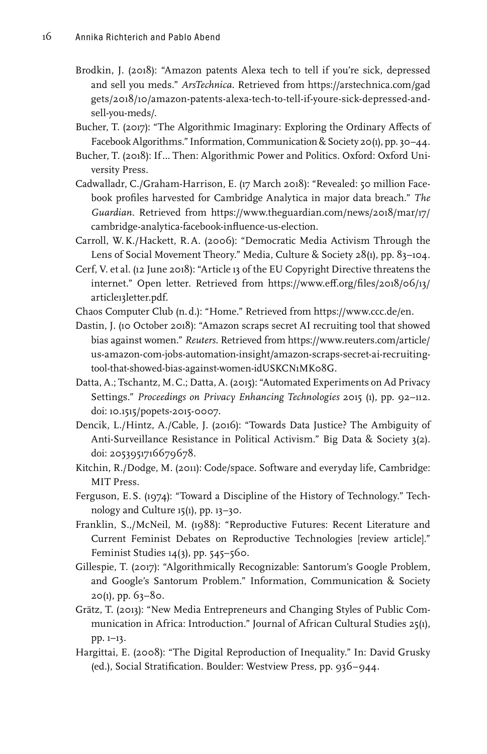- Brodkin, J. (2018): "Amazon patents Alexa tech to tell if you're sick, depressed and sell you meds." *ArsTechnica*. Retrieved from [https://arstechnica.com/gad](https://arstechnica.com/gadgets/2018/10/amazon-patents-alexa-tech-to-tell-if-youre-sick-depressed-and-sell-you-meds/) [gets/2018/10/amazon-patents-alexa-tech-to-tell-if-youre-sick-depressed-and](https://arstechnica.com/gadgets/2018/10/amazon-patents-alexa-tech-to-tell-if-youre-sick-depressed-and-sell-you-meds/)[sell-you-meds/](https://arstechnica.com/gadgets/2018/10/amazon-patents-alexa-tech-to-tell-if-youre-sick-depressed-and-sell-you-meds/).
- Bucher, T. (2017): "The Algorithmic Imaginary: Exploring the Ordinary Affects of Facebook Algorithms." Information, Communication & Society 20(1), pp. 30–44.
- Bucher, T. (2018): If… Then: Algorithmic Power and Politics. Oxford: Oxford University Press.
- Cadwalladr, C./Graham-Harrison, E. (17 March 2018): "Revealed: 50 million Facebook profiles harvested for Cambridge Analytica in major data breach." *The Guardian*. Retrieved from [https://www.theguardian.com/news/2018/mar/17/](https://www.theguardian.com/news/2018/mar/17/cambridge-analytica-facebook-influence-us-election) [cambridge-analytica-facebook-influence-us-election](https://www.theguardian.com/news/2018/mar/17/cambridge-analytica-facebook-influence-us-election).
- Carroll, W.K./Hackett, R.A. (2006): "Democratic Media Activism Through the Lens of Social Movement Theory." Media, Culture & Society 28(1), pp. 83–104.
- Cerf, V. et al. (12 June 2018): "Article 13 of the EU Copyright Directive threatens the internet." Open letter. Retrieved from [https://www.eff.org/files/2018/06/13/](https://www.eff.org/files/2018/06/13/article13letter.pdf) [article13letter.pdf.](https://www.eff.org/files/2018/06/13/article13letter.pdf)
- Chaos Computer Club (n.d.): "Home." Retrieved from<https://www.ccc.de/en>.
- Dastin, J. (10 October 2018): "Amazon scraps secret AI recruiting tool that showed bias against women." *Reuters*. Retrieved from [https://www.reuters.com/article/](https://www.reuters.com/article/us-amazon-com-jobs-automation-insight/amazon-scraps-secret-ai-recruiting-tool-that-showed-bias-against-women-idUSKCN1MK08G) [us-amazon-com-jobs-automation-insight/amazon-scraps-secret-ai-recruiting](https://www.reuters.com/article/us-amazon-com-jobs-automation-insight/amazon-scraps-secret-ai-recruiting-tool-that-showed-bias-against-women-idUSKCN1MK08G)[tool-that-showed-bias-against-women-idUSKCN1MK08G.](https://www.reuters.com/article/us-amazon-com-jobs-automation-insight/amazon-scraps-secret-ai-recruiting-tool-that-showed-bias-against-women-idUSKCN1MK08G)
- Datta, A.; Tschantz, M.C.; Datta, A. (2015): "Automated Experiments on Ad Privacy Settings." *Proceedings on Privacy Enhancing Technologies* 2015 (1), pp. 92–112. doi: 10.1515/popets-2015-0007.
- Dencik, L./Hintz, A./Cable, J. (2016): "Towards Data Justice? The Ambiguity of Anti-Surveillance Resistance in Political Activism." Big Data & Society 3(2). doi: 2053951716679678.
- Kitchin, R./Dodge, M. (2011): Code/space. Software and everyday life, Cambridge: MIT Press.
- Ferguson, E.S. (1974): "Toward a Discipline of the History of Technology." Technology and Culture 15(1), pp. 13–30.
- Franklin, S.,/McNeil, M. (1988): "Reproductive Futures: Recent Literature and Current Feminist Debates on Reproductive Technologies [review article]." Feminist Studies  $14(3)$ , pp.  $545-560$ .
- Gillespie, T. (2017): "Algorithmically Recognizable: Santorum's Google Problem, and Google's Santorum Problem." Information, Communication & Society  $20(1)$ , pp. 63–80.
- Grätz, T. (2013): "New Media Entrepreneurs and Changing Styles of Public Communication in Africa: Introduction." Journal of African Cultural Studies 25(1), pp. 1–13.
- Hargittai, E. (2008): "The Digital Reproduction of Inequality." In: David Grusky (ed.), Social Stratification. Boulder: Westview Press, pp. 936–944.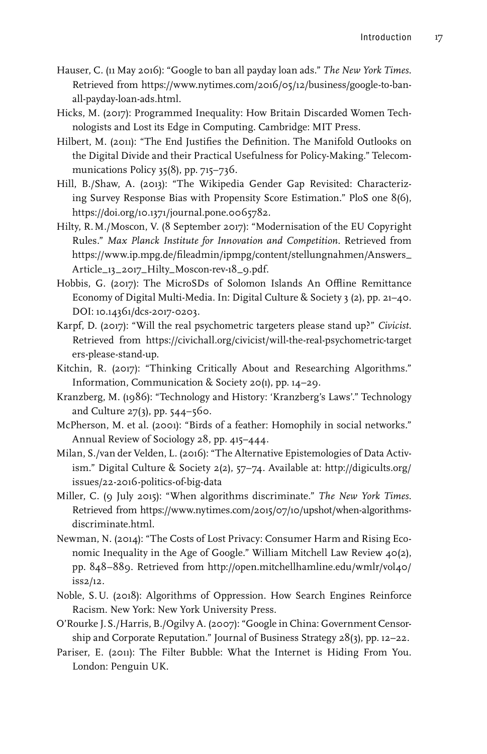- Hauser, C. (11 May 2016): "Google to ban all payday loan ads." *The New York Times*. Retrieved from [https://www.nytimes.com/2016/05/12/business/google-to-ban](https://www.nytimes.com/2016/05/12/business/google-to-ban-all-payday-loan-ads.html)[all-payday-loan-ads.html](https://www.nytimes.com/2016/05/12/business/google-to-ban-all-payday-loan-ads.html).
- Hicks, M. (2017): Programmed Inequality: How Britain Discarded Women Technologists and Lost its Edge in Computing. Cambridge: MIT Press.
- Hilbert, M. (2011): "The End Justifies the Definition. The Manifold Outlooks on the Digital Divide and their Practical Usefulness for Policy-Making." Telecommunications Policy 35(8), pp. 715–736.
- Hill, B./Shaw, A. (2013): "The Wikipedia Gender Gap Revisited: Characterizing Survey Response Bias with Propensity Score Estimation." PloS one 8(6), <https://doi.org/10.1371/journal.pone.0065782>.
- Hilty, R.M./Moscon, V. (8 September 2017): "Modernisation of the EU Copyright Rules." *Max Planck Institute for Innovation and Competition*. Retrieved from [https://www.ip.mpg.de/fileadmin/ipmpg/content/stellungnahmen/Answers\\_](https://www.ip.mpg.de/fileadmin/ipmpg/content/stellungnahmen/Answers_Article_13_2017_Hilty_Moscon-rev-18_9.pdf) [Article\\_13\\_2017\\_Hilty\\_Moscon-rev-18\\_9.pdf](https://www.ip.mpg.de/fileadmin/ipmpg/content/stellungnahmen/Answers_Article_13_2017_Hilty_Moscon-rev-18_9.pdf).
- Hobbis, G. (2017): The MicroSDs of Solomon Islands An Offline Remittance Economy of Digital Multi-Media. In: Digital Culture & Society 3 (2), pp. 21–40. DOI: 10.14361/dcs-2017-0203.
- Karpf, D. (2017): "Will the real psychometric targeters please stand up?" *Civicist*. Retrieved from [https://civichall.org/civicist/will-the-real-psychometric-target](https://civichall.org/civicist/will-the-real-psychometric-targeters-please-stand-up) [ers-please-stand-up](https://civichall.org/civicist/will-the-real-psychometric-targeters-please-stand-up).
- Kitchin, R. (2017): "Thinking Critically About and Researching Algorithms." Information, Communication & Society 20(1), pp. 14–29.
- Kranzberg, M. (1986): "Technology and History: 'Kranzberg's Laws'." Technology and Culture 27(3), pp. 544–560.
- McPherson, M. et al. (2001): "Birds of a feather: Homophily in social networks." Annual Review of Sociology 28, pp. 415–444.
- Milan, S./van der Velden, L. (2016): "The Alternative Epistemologies of Data Activism." Digital Culture & Society 2(2), 57–74. Available at: [http://digicults.org/](http://digicults.org/issues/22-2016-politics-of-big-data) [issues/22-2016-politics-of-big-data](http://digicults.org/issues/22-2016-politics-of-big-data)
- Miller, C. (9 July 2015): "When algorithms discriminate." *The New York Times*. Retrieved from [https://www.nytimes.com/2015/07/10/upshot/when-algorithms](https://www.nytimes.com/2015/07/10/upshot/when-algorithms-discriminate.html)[discriminate.html](https://www.nytimes.com/2015/07/10/upshot/when-algorithms-discriminate.html).
- Newman, N. (2014): "The Costs of Lost Privacy: Consumer Harm and Rising Economic Inequality in the Age of Google." William Mitchell Law Review 40(2), pp. 848–889. Retrieved from [http://open.mitchellhamline.edu/wmlr/vol40/](http://open.mitchellhamline.edu/wmlr/vol40/iss2/12) [iss2/12](http://open.mitchellhamline.edu/wmlr/vol40/iss2/12).
- Noble, S.U. (2018): Algorithms of Oppression. How Search Engines Reinforce Racism. New York: New York University Press.
- O'Rourke J.S./Harris, B./Ogilvy A. (2007): "Google in China: Government Censorship and Corporate Reputation." Journal of Business Strategy 28(3), pp. 12–22.
- Pariser, E. (2011): The Filter Bubble: What the Internet is Hiding From You. London: Penguin UK.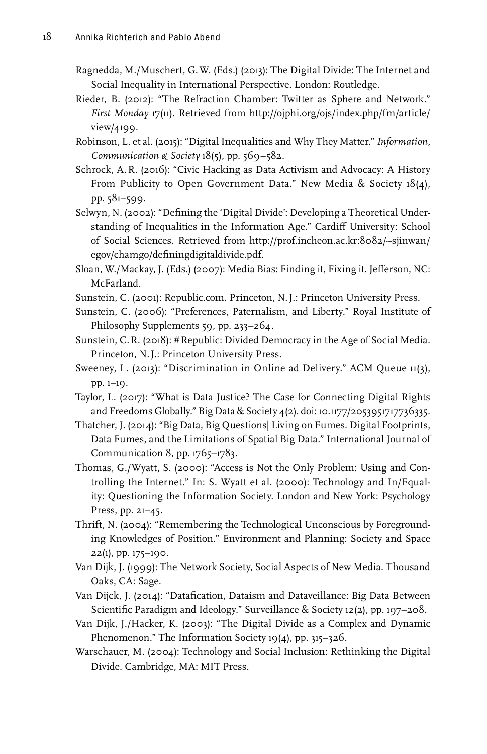- Ragnedda, M./Muschert, G.W. (Eds.) (2013): The Digital Divide: The Internet and Social Inequality in International Perspective. London: Routledge.
- Rieder, B. (2012): "The Refraction Chamber: Twitter as Sphere and Network." *First Monday* 17(11). Retrieved from [http://ojphi.org/ojs/index.php/fm/article/](http://ojphi.org/ojs/index.php/fm/article/view/4199) [view/4199](http://ojphi.org/ojs/index.php/fm/article/view/4199).
- Robinson, L. et al. (2015): "Digital Inequalities and Why They Matter." *Information, Communication & Society* 18(5), pp. 569−582.
- Schrock, A.R. (2016): "Civic Hacking as Data Activism and Advocacy: A History From Publicity to Open Government Data." New Media & Society 18(4), pp. 581–599.
- Selwyn, N. (2002): "Defining the 'Digital Divide': Developing a Theoretical Understanding of Inequalities in the Information Age." Cardiff University: School of Social Sciences. Retrieved from [http://prof.incheon.ac.kr:8082/~sjinwan/](http://prof.incheon.ac.kr:8082/~sjinwan/egov/chamgo/definingdigitaldivide.pdf) [egov/chamgo/definingdigitaldivide.pdf.](http://prof.incheon.ac.kr:8082/~sjinwan/egov/chamgo/definingdigitaldivide.pdf)
- Sloan, W./Mackay, J. (Eds.) (2007): Media Bias: Finding it, Fixing it. Jefferson, NC: McFarland.
- Sunstein, C. (2001): Republic.com. Princeton, N.J.: Princeton University Press.
- Sunstein, C. (2006): "Preferences, Paternalism, and Liberty." Royal Institute of Philosophy Supplements 59, pp. 233–264.
- Sunstein, C.R. (2018): #Republic: Divided Democracy in the Age of Social Media. Princeton, N.J.: Princeton University Press.
- Sweeney, L. (2013): "Discrimination in Online ad Delivery." ACM Queue 11(3), pp. 1–19.
- Taylor, L. (2017): "What is Data Justice? The Case for Connecting Digital Rights and Freedoms Globally." Big Data & Society 4(2). doi: 10.1177/2053951717736335.
- Thatcher, J. (2014): "Big Data, Big Questions| Living on Fumes. Digital Footprints, Data Fumes, and the Limitations of Spatial Big Data." International Journal of Communication 8, pp. 1765–1783.
- Thomas, G./Wyatt, S. (2000): "Access is Not the Only Problem: Using and Controlling the Internet." In: S. Wyatt et al. (2000): Technology and In/Equality: Questioning the Information Society. London and New York: Psychology Press, pp. 21–45.
- Thrift, N. (2004): "Remembering the Technological Unconscious by Foregrounding Knowledges of Position." Environment and Planning: Society and Space 22(1), pp. 175–190.
- Van Dijk, J. (1999): The Network Society, Social Aspects of New Media. Thousand Oaks, CA: Sage.
- Van Dijck, J. (2014): "Datafication, Dataism and Dataveillance: Big Data Between Scientific Paradigm and Ideology." Surveillance & Society 12(2), pp. 197–208.
- Van Dijk, J./Hacker, K. (2003): "The Digital Divide as a Complex and Dynamic Phenomenon." The Information Society 19(4), pp. 315-326.
- Warschauer, M. (2004): Technology and Social Inclusion: Rethinking the Digital Divide. Cambridge, MA: MIT Press.